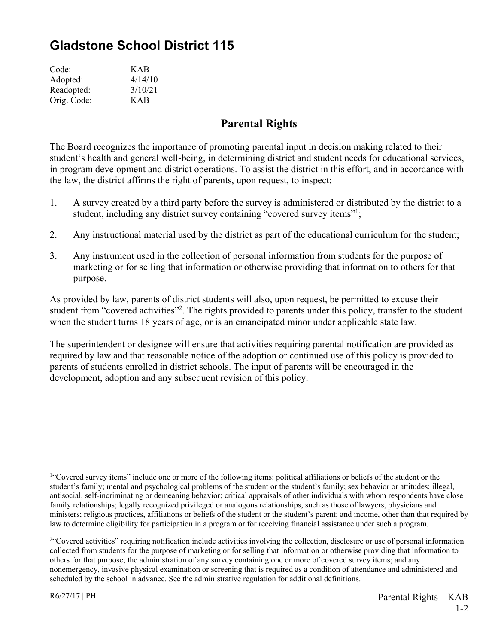## **Gladstone School District 115**

| Code:       | <b>KAB</b> |
|-------------|------------|
| Adopted:    | 4/14/10    |
| Readopted:  | 3/10/21    |
| Orig. Code: | KAB        |

## **Parental Rights**

The Board recognizes the importance of promoting parental input in decision making related to their student's health and general well-being, in determining district and student needs for educational services, in program development and district operations. To assist the district in this effort, and in accordance with the law, the district affirms the right of parents, upon request, to inspect:

- 1. A survey created by a third party before the survey is administered or distributed by the district to a student, including any district survey containing "covered survey items"<sup>1</sup>;
- 2. Any instructional material used by the district as part of the educational curriculum for the student;
- 3. Any instrument used in the collection of personal information from students for the purpose of marketing or for selling that information or otherwise providing that information to others for that purpose.

As provided by law, parents of district students will also, upon request, be permitted to excuse their student from "covered activities"<sup>2</sup>. The rights provided to parents under this policy, transfer to the student when the student turns 18 years of age, or is an emancipated minor under applicable state law.

The superintendent or designee will ensure that activities requiring parental notification are provided as required by law and that reasonable notice of the adoption or continued use of this policy is provided to parents of students enrolled in district schools. The input of parents will be encouraged in the development, adoption and any subsequent revision of this policy.

 $\overline{a}$ 

<sup>&</sup>lt;sup>1"</sup>Covered survey items" include one or more of the following items: political affiliations or beliefs of the student or the student's family; mental and psychological problems of the student or the student's family; sex behavior or attitudes; illegal, antisocial, self-incriminating or demeaning behavior; critical appraisals of other individuals with whom respondents have close family relationships; legally recognized privileged or analogous relationships, such as those of lawyers, physicians and ministers; religious practices, affiliations or beliefs of the student or the student's parent; and income, other than that required by law to determine eligibility for participation in a program or for receiving financial assistance under such a program.

<sup>&</sup>lt;sup>2</sup>"Covered activities" requiring notification include activities involving the collection, disclosure or use of personal information collected from students for the purpose of marketing or for selling that information or otherwise providing that information to others for that purpose; the administration of any survey containing one or more of covered survey items; and any nonemergency, invasive physical examination or screening that is required as a condition of attendance and administered and scheduled by the school in advance. See the administrative regulation for additional definitions.